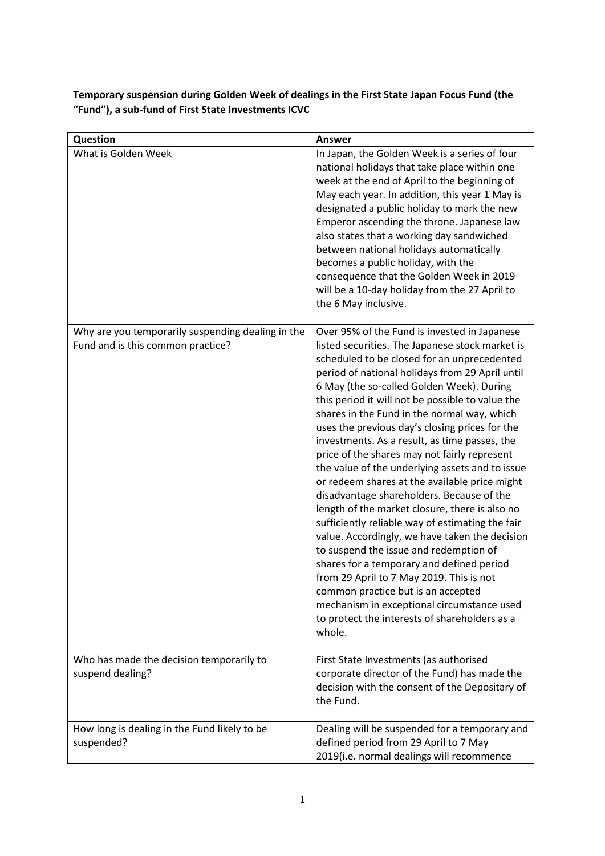**Temporary suspension during Golden Week of dealings in the First State Japan Focus Fund (the "Fund"), a sub-fund of First State Investments ICVC**

| Question                                                                               | <b>Answer</b>                                                                                                                                                                                                                                                                                                                                                                                                                                                                                                                                                                                                                                                                                                                                                                                                                                                                                                                                                                                                                                                                                   |
|----------------------------------------------------------------------------------------|-------------------------------------------------------------------------------------------------------------------------------------------------------------------------------------------------------------------------------------------------------------------------------------------------------------------------------------------------------------------------------------------------------------------------------------------------------------------------------------------------------------------------------------------------------------------------------------------------------------------------------------------------------------------------------------------------------------------------------------------------------------------------------------------------------------------------------------------------------------------------------------------------------------------------------------------------------------------------------------------------------------------------------------------------------------------------------------------------|
| What is Golden Week                                                                    | In Japan, the Golden Week is a series of four<br>national holidays that take place within one<br>week at the end of April to the beginning of<br>May each year. In addition, this year 1 May is<br>designated a public holiday to mark the new<br>Emperor ascending the throne. Japanese law<br>also states that a working day sandwiched<br>between national holidays automatically<br>becomes a public holiday, with the<br>consequence that the Golden Week in 2019<br>will be a 10-day holiday from the 27 April to<br>the 6 May inclusive.                                                                                                                                                                                                                                                                                                                                                                                                                                                                                                                                                 |
| Why are you temporarily suspending dealing in the<br>Fund and is this common practice? | Over 95% of the Fund is invested in Japanese<br>listed securities. The Japanese stock market is<br>scheduled to be closed for an unprecedented<br>period of national holidays from 29 April until<br>6 May (the so-called Golden Week). During<br>this period it will not be possible to value the<br>shares in the Fund in the normal way, which<br>uses the previous day's closing prices for the<br>investments. As a result, as time passes, the<br>price of the shares may not fairly represent<br>the value of the underlying assets and to issue<br>or redeem shares at the available price might<br>disadvantage shareholders. Because of the<br>length of the market closure, there is also no<br>sufficiently reliable way of estimating the fair<br>value. Accordingly, we have taken the decision<br>to suspend the issue and redemption of<br>shares for a temporary and defined period<br>from 29 April to 7 May 2019. This is not<br>common practice but is an accepted<br>mechanism in exceptional circumstance used<br>to protect the interests of shareholders as a<br>whole. |
| Who has made the decision temporarily to<br>suspend dealing?                           | First State Investments (as authorised<br>corporate director of the Fund) has made the<br>decision with the consent of the Depositary of<br>the Fund.                                                                                                                                                                                                                                                                                                                                                                                                                                                                                                                                                                                                                                                                                                                                                                                                                                                                                                                                           |
| How long is dealing in the Fund likely to be<br>suspended?                             | Dealing will be suspended for a temporary and<br>defined period from 29 April to 7 May<br>2019(i.e. normal dealings will recommence                                                                                                                                                                                                                                                                                                                                                                                                                                                                                                                                                                                                                                                                                                                                                                                                                                                                                                                                                             |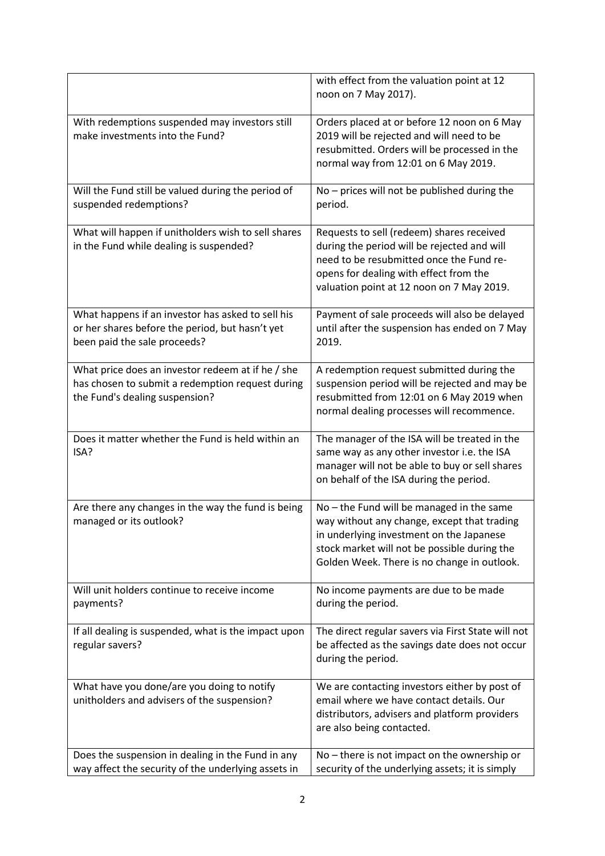|                                                                                                                                         | with effect from the valuation point at 12<br>noon on 7 May 2017).                                                                                                                                                                  |
|-----------------------------------------------------------------------------------------------------------------------------------------|-------------------------------------------------------------------------------------------------------------------------------------------------------------------------------------------------------------------------------------|
| With redemptions suspended may investors still<br>make investments into the Fund?                                                       | Orders placed at or before 12 noon on 6 May<br>2019 will be rejected and will need to be<br>resubmitted. Orders will be processed in the<br>normal way from 12:01 on 6 May 2019.                                                    |
| Will the Fund still be valued during the period of<br>suspended redemptions?                                                            | No - prices will not be published during the<br>period.                                                                                                                                                                             |
| What will happen if unitholders wish to sell shares<br>in the Fund while dealing is suspended?                                          | Requests to sell (redeem) shares received<br>during the period will be rejected and will<br>need to be resubmitted once the Fund re-<br>opens for dealing with effect from the<br>valuation point at 12 noon on 7 May 2019.         |
| What happens if an investor has asked to sell his<br>or her shares before the period, but hasn't yet<br>been paid the sale proceeds?    | Payment of sale proceeds will also be delayed<br>until after the suspension has ended on 7 May<br>2019.                                                                                                                             |
| What price does an investor redeem at if he / she<br>has chosen to submit a redemption request during<br>the Fund's dealing suspension? | A redemption request submitted during the<br>suspension period will be rejected and may be<br>resubmitted from 12:01 on 6 May 2019 when<br>normal dealing processes will recommence.                                                |
| Does it matter whether the Fund is held within an<br>ISA?                                                                               | The manager of the ISA will be treated in the<br>same way as any other investor i.e. the ISA<br>manager will not be able to buy or sell shares<br>on behalf of the ISA during the period.                                           |
| Are there any changes in the way the fund is being<br>managed or its outlook?                                                           | No - the Fund will be managed in the same<br>way without any change, except that trading<br>in underlying investment on the Japanese<br>stock market will not be possible during the<br>Golden Week. There is no change in outlook. |
| Will unit holders continue to receive income<br>payments?                                                                               | No income payments are due to be made<br>during the period.                                                                                                                                                                         |
| If all dealing is suspended, what is the impact upon<br>regular savers?                                                                 | The direct regular savers via First State will not<br>be affected as the savings date does not occur<br>during the period.                                                                                                          |
| What have you done/are you doing to notify<br>unitholders and advisers of the suspension?                                               | We are contacting investors either by post of<br>email where we have contact details. Our<br>distributors, advisers and platform providers<br>are also being contacted.                                                             |
| Does the suspension in dealing in the Fund in any<br>way affect the security of the underlying assets in                                | No - there is not impact on the ownership or<br>security of the underlying assets; it is simply                                                                                                                                     |